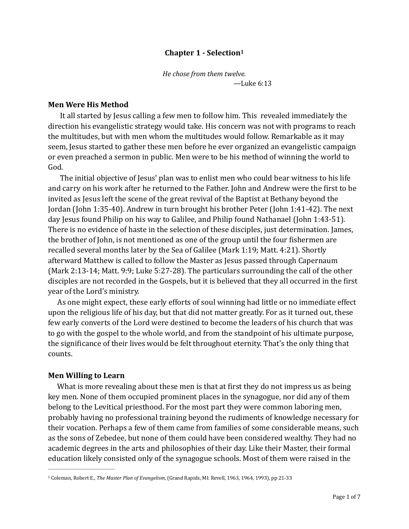# <span id="page-0-1"></span>**Chapter 1 - Selectio[n1](#page-0-0)**

*He chose from them twelve.*  $-$ Luke 6:13

### **Men Were His Method**

It all started by Jesus calling a few men to follow him. This revealed immediately the direction his evangelistic strategy would take. His concern was not with programs to reach the multitudes, but with men whom the multitudes would follow. Remarkable as it may seem, Jesus started to gather these men before he ever organized an evangelistic campaign or even preached a sermon in public. Men were to be his method of winning the world to God.

The initial objective of Jesus' plan was to enlist men who could bear witness to his life and carry on his work after he returned to the Father. John and Andrew were the first to be invited as Jesus left the scene of the great revival of the Baptist at Bethany beyond the Jordan (John 1:35-40). Andrew in turn brought his brother Peter (John 1:41-42). The next day Jesus found Philip on his way to Galilee, and Philip found Nathanael (John 1:43-51). There is no evidence of haste in the selection of these disciples, just determination. James, the brother of John, is not mentioned as one of the group until the four fishermen are recalled several months later by the Sea of Galilee (Mark 1:19; Matt. 4:21). Shortly afterward Matthew is called to follow the Master as Jesus passed through Capernaum (Mark  $2:13-14$ ; Matt.  $9:9$ ; Luke  $5:27-28$ ). The particulars surrounding the call of the other disciples are not recorded in the Gospels, but it is believed that they all occurred in the first year of the Lord's ministry.

As one might expect, these early efforts of soul winning had little or no immediate effect upon the religious life of his day, but that did not matter greatly. For as it turned out, these few early converts of the Lord were destined to become the leaders of his church that was to go with the gospel to the whole world, and from the standpoint of his ultimate purpose, the significance of their lives would be felt throughout eternity. That's the only thing that counts.

### **Men Willing to Learn**

What is more revealing about these men is that at first they do not impress us as being key men. None of them occupied prominent places in the synagogue, nor did any of them belong to the Levitical priesthood. For the most part they were common laboring men, probably having no professional training beyond the rudiments of knowledge necessary for their vocation. Perhaps a few of them came from families of some considerable means, such as the sons of Zebedee, but none of them could have been considered wealthy. They had no academic degrees in the arts and philosophies of their day. Like their Master, their formal education likely consisted only of the synagogue schools. Most of them were raised in the

<span id="page-0-0"></span><sup>1</sup> Coleman, Robert E., The Master Plan of Evangelism, (Grand Rapids, MI: Revell, 1963, 1964, 1993), pp 21-33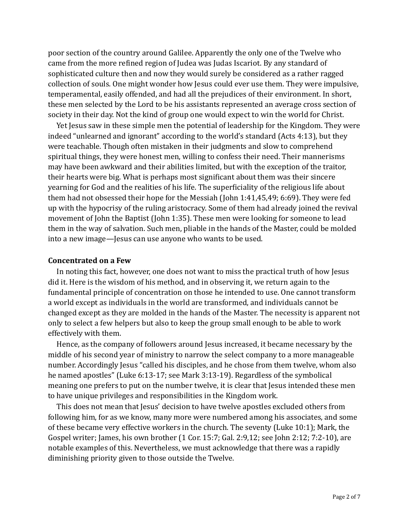poor section of the country around Galilee. Apparently the only one of the Twelve who came from the more refined region of Judea was Judas Iscariot. By any standard of sophisticated culture then and now they would surely be considered as a rather ragged collection of souls. One might wonder how Jesus could ever use them. They were impulsive, temperamental, easily offended, and had all the prejudices of their environment. In short, these men selected by the Lord to be his assistants represented an average cross section of society in their day. Not the kind of group one would expect to win the world for Christ.

Yet Jesus saw in these simple men the potential of leadership for the Kingdom. They were indeed "unlearned and ignorant" according to the world's standard (Acts 4:13), but they were teachable. Though often mistaken in their judgments and slow to comprehend spiritual things, they were honest men, willing to confess their need. Their mannerisms may have been awkward and their abilities limited, but with the exception of the traitor, their hearts were big. What is perhaps most significant about them was their sincere yearning for God and the realities of his life. The superficiality of the religious life about them had not obsessed their hope for the Messiah (John  $1:41,45,49$ ; 6:69). They were fed up with the hypocrisy of the ruling aristocracy. Some of them had already joined the revival movement of John the Baptist (John 1:35). These men were looking for someone to lead them in the way of salvation. Such men, pliable in the hands of the Master, could be molded into a new image—Jesus can use anyone who wants to be used.

### **Concentrated on a Few**

In noting this fact, however, one does not want to miss the practical truth of how Jesus did it. Here is the wisdom of his method, and in observing it, we return again to the fundamental principle of concentration on those he intended to use. One cannot transform a world except as individuals in the world are transformed, and individuals cannot be changed except as they are molded in the hands of the Master. The necessity is apparent not only to select a few helpers but also to keep the group small enough to be able to work effectively with them.

Hence, as the company of followers around Jesus increased, it became necessary by the middle of his second year of ministry to narrow the select company to a more manageable number. Accordingly Jesus "called his disciples, and he chose from them twelve, whom also he named apostles" (Luke 6:13-17; see Mark 3:13-19). Regardless of the symbolical meaning one prefers to put on the number twelve, it is clear that Jesus intended these men to have unique privileges and responsibilities in the Kingdom work.

This does not mean that Jesus' decision to have twelve apostles excluded others from following him, for as we know, many more were numbered among his associates, and some of these became very effective workers in the church. The seventy (Luke 10:1); Mark, the Gospel writer; James, his own brother  $(1$  Cor.  $15:7$ ; Gal.  $2:9,12$ ; see John  $2:12$ ;  $7:2-10$ ), are notable examples of this. Nevertheless, we must acknowledge that there was a rapidly diminishing priority given to those outside the Twelve.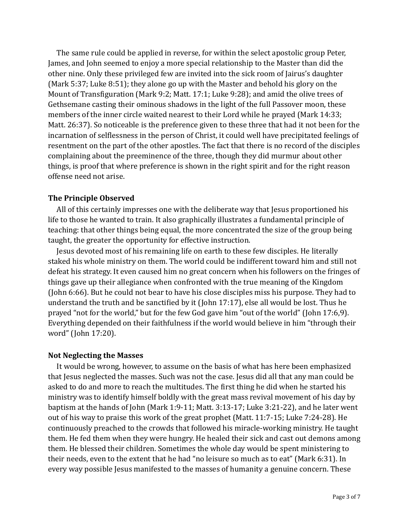The same rule could be applied in reverse, for within the select apostolic group Peter, James, and John seemed to enjoy a more special relationship to the Master than did the other nine. Only these privileged few are invited into the sick room of Jairus's daughter (Mark  $5:37$ ; Luke  $8:51$ ); they alone go up with the Master and behold his glory on the Mount of Transfiguration (Mark 9:2; Matt. 17:1; Luke 9:28); and amid the olive trees of Gethsemane casting their ominous shadows in the light of the full Passover moon, these members of the inner circle waited nearest to their Lord while he prayed (Mark 14:33; Matt. 26:37). So noticeable is the preference given to these three that had it not been for the incarnation of selflessness in the person of Christ, it could well have precipitated feelings of resentment on the part of the other apostles. The fact that there is no record of the disciples complaining about the preeminence of the three, though they did murmur about other things, is proof that where preference is shown in the right spirit and for the right reason offense need not arise.

# **The Principle Observed**

All of this certainly impresses one with the deliberate way that Jesus proportioned his life to those he wanted to train. It also graphically illustrates a fundamental principle of teaching: that other things being equal, the more concentrated the size of the group being taught, the greater the opportunity for effective instruction.

Jesus devoted most of his remaining life on earth to these few disciples. He literally staked his whole ministry on them. The world could be indifferent toward him and still not defeat his strategy. It even caused him no great concern when his followers on the fringes of things gave up their allegiance when confronted with the true meaning of the Kingdom (John 6:66). But he could not bear to have his close disciples miss his purpose. They had to understand the truth and be sanctified by it (John  $17:17$ ), else all would be lost. Thus he prayed "not for the world," but for the few God gave him "out of the world" (John 17:6,9). Everything depended on their faithfulness if the world would believe in him "through their word" (John 17:20).

## **Not Neglecting the Masses**

It would be wrong, however, to assume on the basis of what has here been emphasized that lesus neglected the masses. Such was not the case. Jesus did all that any man could be asked to do and more to reach the multitudes. The first thing he did when he started his ministry was to identify himself boldly with the great mass revival movement of his day by baptism at the hands of John (Mark 1:9-11; Matt. 3:13-17; Luke 3:21-22), and he later went out of his way to praise this work of the great prophet (Matt. 11:7-15; Luke 7:24-28). He continuously preached to the crowds that followed his miracle-working ministry. He taught them. He fed them when they were hungry. He healed their sick and cast out demons among them. He blessed their children. Sometimes the whole day would be spent ministering to their needs, even to the extent that he had "no leisure so much as to eat" (Mark 6:31). In every way possible Jesus manifested to the masses of humanity a genuine concern. These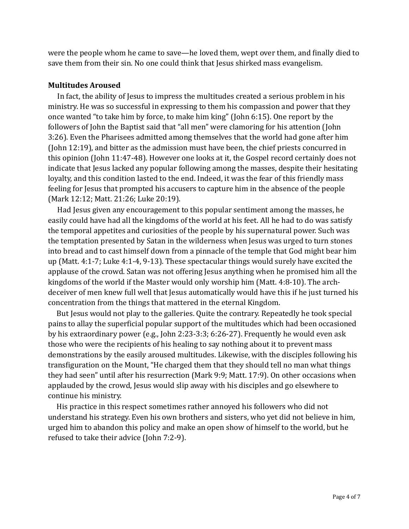were the people whom he came to save—he loved them, wept over them, and finally died to save them from their sin. No one could think that Jesus shirked mass evangelism.

# **Multitudes Aroused**

In fact, the ability of Jesus to impress the multitudes created a serious problem in his ministry. He was so successful in expressing to them his compassion and power that they once wanted "to take him by force, to make him king" (John  $6:15$ ). One report by the followers of John the Baptist said that "all men" were clamoring for his attention (John 3:26). Even the Pharisees admitted among themselves that the world had gone after him (John  $12:19$ ), and bitter as the admission must have been, the chief priests concurred in this opinion (John 11:47-48). However one looks at it, the Gospel record certainly does not indicate that Jesus lacked any popular following among the masses, despite their hesitating loyalty, and this condition lasted to the end. Indeed, it was the fear of this friendly mass feeling for Jesus that prompted his accusers to capture him in the absence of the people (Mark 12:12; Matt. 21:26; Luke 20:19).

Had Jesus given any encouragement to this popular sentiment among the masses, he easily could have had all the kingdoms of the world at his feet. All he had to do was satisfy the temporal appetites and curiosities of the people by his supernatural power. Such was the temptation presented by Satan in the wilderness when Jesus was urged to turn stones into bread and to cast himself down from a pinnacle of the temple that God might bear him up (Matt. 4:1-7; Luke 4:1-4, 9-13). These spectacular things would surely have excited the applause of the crowd. Satan was not offering Jesus anything when he promised him all the kingdoms of the world if the Master would only worship him (Matt. 4:8-10). The archdeceiver of men knew full well that Jesus automatically would have this if he just turned his concentration from the things that mattered in the eternal Kingdom.

But Jesus would not play to the galleries. Quite the contrary. Repeatedly he took special pains to allay the superficial popular support of the multitudes which had been occasioned by his extraordinary power (e.g., John 2:23-3:3; 6:26-27). Frequently he would even ask those who were the recipients of his healing to say nothing about it to prevent mass demonstrations by the easily aroused multitudes. Likewise, with the disciples following his transfiguration on the Mount, "He charged them that they should tell no man what things they had seen" until after his resurrection (Mark 9:9; Matt. 17:9). On other occasions when applauded by the crowd, Jesus would slip away with his disciples and go elsewhere to continue his ministry.

His practice in this respect sometimes rather annoyed his followers who did not understand his strategy. Even his own brothers and sisters, who yet did not believe in him, urged him to abandon this policy and make an open show of himself to the world, but he refused to take their advice (John 7:2-9).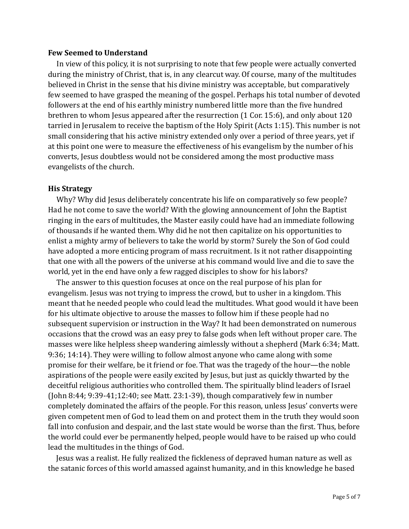### **Few Seemed to Understand**

In view of this policy, it is not surprising to note that few people were actually converted during the ministry of Christ, that is, in any clearcut way. Of course, many of the multitudes believed in Christ in the sense that his divine ministry was acceptable, but comparatively few seemed to have grasped the meaning of the gospel. Perhaps his total number of devoted followers at the end of his earthly ministry numbered little more than the five hundred brethren to whom Jesus appeared after the resurrection (1 Cor. 15:6), and only about 120 tarried in Jerusalem to receive the baptism of the Holy Spirit (Acts 1:15). This number is not small considering that his active ministry extended only over a period of three years, yet if at this point one were to measure the effectiveness of his evangelism by the number of his converts, Jesus doubtless would not be considered among the most productive mass evangelists of the church.

## **His Strategy**

Why? Why did Jesus deliberately concentrate his life on comparatively so few people? Had he not come to save the world? With the glowing announcement of John the Baptist ringing in the ears of multitudes, the Master easily could have had an immediate following of thousands if he wanted them. Why did he not then capitalize on his opportunities to enlist a mighty army of believers to take the world by storm? Surely the Son of God could have adopted a more enticing program of mass recruitment. Is it not rather disappointing that one with all the powers of the universe at his command would live and die to save the world, yet in the end have only a few ragged disciples to show for his labors?

The answer to this question focuses at once on the real purpose of his plan for evangelism. Jesus was not trying to impress the crowd, but to usher in a kingdom. This meant that he needed people who could lead the multitudes. What good would it have been for his ultimate objective to arouse the masses to follow him if these people had no subsequent supervision or instruction in the Way? It had been demonstrated on numerous occasions that the crowd was an easy prey to false gods when left without proper care. The masses were like helpless sheep wandering aimlessly without a shepherd (Mark 6:34; Matt. 9:36; 14:14). They were willing to follow almost anyone who came along with some promise for their welfare, be it friend or foe. That was the tragedy of the hour—the noble aspirations of the people were easily excited by Jesus, but just as quickly thwarted by the deceitful religious authorities who controlled them. The spiritually blind leaders of Israel (John 8:44;  $9:39-41;12:40$ ; see Matt. 23:1-39), though comparatively few in number completely dominated the affairs of the people. For this reason, unless Jesus' converts were given competent men of God to lead them on and protect them in the truth they would soon fall into confusion and despair, and the last state would be worse than the first. Thus, before the world could ever be permanently helped, people would have to be raised up who could lead the multitudes in the things of God.

Jesus was a realist. He fully realized the fickleness of deprayed human nature as well as the satanic forces of this world amassed against humanity, and in this knowledge he based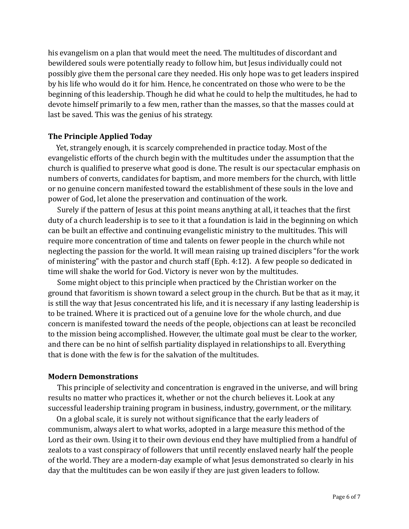his evangelism on a plan that would meet the need. The multitudes of discordant and bewildered souls were potentially ready to follow him, but Jesus individually could not possibly give them the personal care they needed. His only hope was to get leaders inspired by his life who would do it for him. Hence, he concentrated on those who were to be the beginning of this leadership. Though he did what he could to help the multitudes, he had to devote himself primarily to a few men, rather than the masses, so that the masses could at last be saved. This was the genius of his strategy.

## **The Principle Applied Today**

Yet, strangely enough, it is scarcely comprehended in practice today. Most of the evangelistic efforts of the church begin with the multitudes under the assumption that the church is qualified to preserve what good is done. The result is our spectacular emphasis on numbers of converts, candidates for baptism, and more members for the church, with little or no genuine concern manifested toward the establishment of these souls in the love and power of God, let alone the preservation and continuation of the work.

Surely if the pattern of Jesus at this point means anything at all, it teaches that the first duty of a church leadership is to see to it that a foundation is laid in the beginning on which can be built an effective and continuing evangelistic ministry to the multitudes. This will require more concentration of time and talents on fewer people in the church while not neglecting the passion for the world. It will mean raising up trained disciplers "for the work of ministering" with the pastor and church staff (Eph. 4:12). A few people so dedicated in time will shake the world for God. Victory is never won by the multitudes.

Some might object to this principle when practiced by the Christian worker on the ground that favoritism is shown toward a select group in the church. But be that as it may, it is still the way that Jesus concentrated his life, and it is necessary if any lasting leadership is to be trained. Where it is practiced out of a genuine love for the whole church, and due concern is manifested toward the needs of the people, objections can at least be reconciled to the mission being accomplished. However, the ultimate goal must be clear to the worker, and there can be no hint of selfish partiality displayed in relationships to all. Everything that is done with the few is for the salvation of the multitudes.

### **Modern Demonstrations**

This principle of selectivity and concentration is engraved in the universe, and will bring results no matter who practices it, whether or not the church believes it. Look at any successful leadership training program in business, industry, government, or the military.

On a global scale, it is surely not without significance that the early leaders of communism, always alert to what works, adopted in a large measure this method of the Lord as their own. Using it to their own devious end they have multiplied from a handful of zealots to a vast conspiracy of followers that until recently enslaved nearly half the people of the world. They are a modern-day example of what Jesus demonstrated so clearly in his day that the multitudes can be won easily if they are just given leaders to follow.